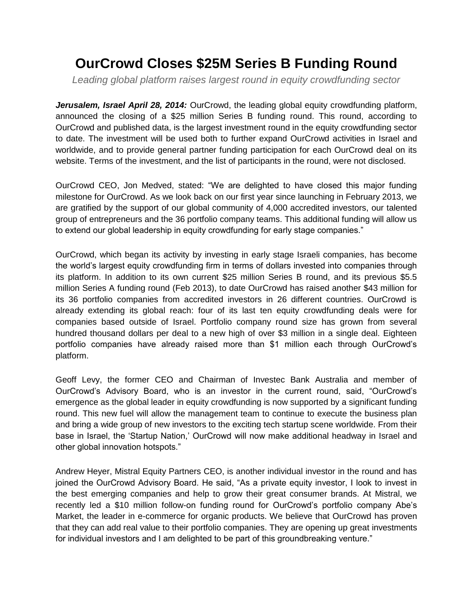## **OurCrowd Closes \$25M Series B Funding Round**

*Leading global platform raises largest round in equity crowdfunding sector*

*Jerusalem, Israel April 28, 2014:* OurCrowd, the leading global equity crowdfunding platform, announced the closing of a \$25 million Series B funding round. This round, according to OurCrowd and published data, is the largest investment round in the equity crowdfunding sector to date. The investment will be used both to further expand OurCrowd activities in Israel and worldwide, and to provide general partner funding participation for each OurCrowd deal on its website. Terms of the investment, and the list of participants in the round, were not disclosed.

OurCrowd CEO, Jon Medved, stated: "We are delighted to have closed this major funding milestone for OurCrowd. As we look back on our first year since launching in February 2013, we are gratified by the support of our global community of 4,000 accredited investors, our talented group of entrepreneurs and the 36 portfolio company teams. This additional funding will allow us to extend our global leadership in equity crowdfunding for early stage companies."

OurCrowd, which began its activity by investing in early stage Israeli companies, has become the world's largest equity crowdfunding firm in terms of dollars invested into companies through its platform. In addition to its own current \$25 million Series B round, and its previous \$5.5 million Series A funding round (Feb 2013), to date OurCrowd has raised another \$43 million for its 36 portfolio companies from accredited investors in 26 different countries. OurCrowd is already extending its global reach: four of its last ten equity crowdfunding deals were for companies based outside of Israel. Portfolio company round size has grown from several hundred thousand dollars per deal to a new high of over \$3 million in a single deal. Eighteen portfolio companies have already raised more than \$1 million each through OurCrowd's platform.

Geoff Levy, the former CEO and Chairman of Investec Bank Australia and member of OurCrowd's Advisory Board, who is an investor in the current round, said, "OurCrowd's emergence as the global leader in equity crowdfunding is now supported by a significant funding round. This new fuel will allow the management team to continue to execute the business plan and bring a wide group of new investors to the exciting tech startup scene worldwide. From their base in Israel, the 'Startup Nation,' OurCrowd will now make additional headway in Israel and other global innovation hotspots."

Andrew Heyer, Mistral Equity Partners CEO, is another individual investor in the round and has joined the OurCrowd Advisory Board. He said, "As a private equity investor, I look to invest in the best emerging companies and help to grow their great consumer brands. At Mistral, we recently led a \$10 million follow-on funding round for OurCrowd's portfolio company Abe's Market, the leader in e-commerce for organic products. We believe that OurCrowd has proven that they can add real value to their portfolio companies. They are opening up great investments for individual investors and I am delighted to be part of this groundbreaking venture."